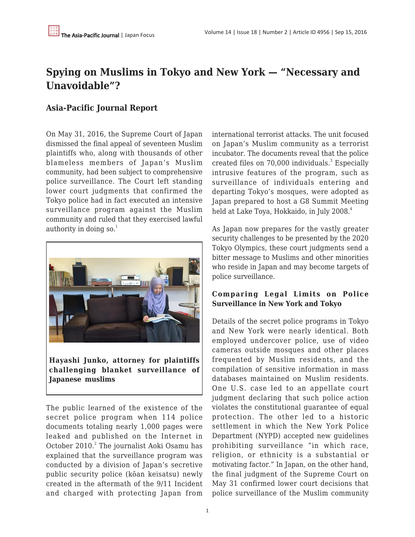## **Spying on Muslims in Tokyo and New York — "Necessary and Unavoidable"?**

## **Asia-Pacific Journal Report**

On May 31, 2016, the Supreme Court of Japan dismissed the final appeal of seventeen Muslim plaintiffs who, along with thousands of other blameless members of Japan's Muslim community, had been subject to comprehensive police surveillance. The Court left standing lower court judgments that confirmed the Tokyo police had in fact executed an intensive surveillance program against the Muslim community and ruled that they exercised lawful authority in doing so.<sup>1</sup>



**Hayashi Junko, attorney for plaintiffs challenging blanket surveillance of Japanese muslims**

The public learned of the existence of the secret police program when 114 police documents totaling nearly 1,000 pages were leaked and published on the Internet in October 2010.<sup>2</sup> The journalist Aoki Osamu has explained that the surveillance program was conducted by a division of Japan's secretive public security police (kōan keisatsu) newly created in the aftermath of the 9/11 Incident and charged with protecting Japan from international terrorist attacks. The unit focused on Japan's Muslim community as a terrorist incubator. The documents reveal that the police created files on 70,000 individuals.<sup>3</sup> Especially intrusive features of the program, such as surveillance of individuals entering and departing Tokyo's mosques, were adopted as Japan prepared to host a G8 Summit Meeting held at Lake Toya, Hokkaido, in July 2008.<sup>4</sup>

As Japan now prepares for the vastly greater security challenges to be presented by the 2020 Tokyo Olympics, these court judgments send a bitter message to Muslims and other minorities who reside in Japan and may become targets of police surveillance.

## **Comparing Legal Limits on Police Surveillance in New York and Tokyo**

Details of the secret police programs in Tokyo and New York were nearly identical. Both employed undercover police, use of video cameras outside mosques and other places frequented by Muslim residents, and the compilation of sensitive information in mass databases maintained on Muslim residents. One U.S. case led to an appellate court judgment declaring that such police action violates the constitutional guarantee of equal protection. The other led to a historic settlement in which the New York Police Department (NYPD) accepted new guidelines prohibiting surveillance "in which race, religion, or ethnicity is a substantial or motivating factor." In Japan, on the other hand, the final judgment of the Supreme Court on May 31 confirmed lower court decisions that police surveillance of the Muslim community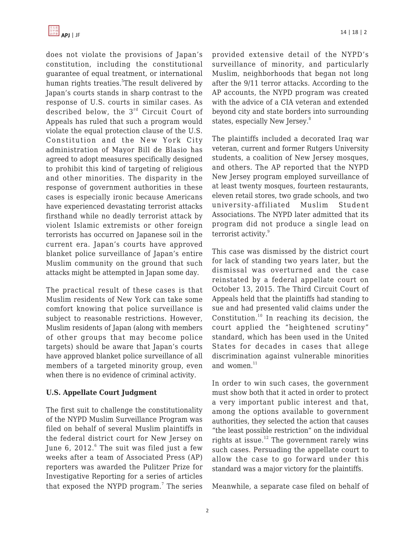

does not violate the provisions of Japan's constitution, including the constitutional guarantee of equal treatment, or international human rights treaties.<sup>5</sup>The result delivered by Japan's courts stands in sharp contrast to the response of U.S. courts in similar cases. As described below, the 3<sup>rd</sup> Circuit Court of Appeals has ruled that such a program would violate the equal protection clause of the U.S. Constitution and the New York City administration of Mayor Bill de Blasio has agreed to adopt measures specifically designed to prohibit this kind of targeting of religious and other minorities. The disparity in the response of government authorities in these cases is especially ironic because Americans have experienced devastating terrorist attacks firsthand while no deadly terrorist attack by violent Islamic extremists or other foreign terrorists has occurred on Japanese soil in the current era. Japan's courts have approved blanket police surveillance of Japan's entire Muslim community on the ground that such attacks might be attempted in Japan some day.

The practical result of these cases is that Muslim residents of New York can take some comfort knowing that police surveillance is subject to reasonable restrictions. However, Muslim residents of Japan (along with members of other groups that may become police targets) should be aware that Japan's courts have approved blanket police surveillance of all members of a targeted minority group, even when there is no evidence of criminal activity.

#### **U.S. Appellate Court Judgment**

The first suit to challenge the constitutionality of the NYPD Muslim Surveillance Program was filed on behalf of several Muslim plaintiffs in the federal district court for New Jersey on June 6, 2012. $^{\rm 6}$  The suit was filed just a few weeks after a team of Associated Press (AP) reporters was awarded the Pulitzer Prize for Investigative Reporting for a series of articles that exposed the NYPD program.<sup>7</sup> The series

provided extensive detail of the NYPD's surveillance of minority, and particularly Muslim, neighborhoods that began not long after the 9/11 terror attacks. According to the AP accounts, the NYPD program was created with the advice of a CIA veteran and extended beyond city and state borders into surrounding states, especially New Jersey.<sup>8</sup>

The plaintiffs included a decorated Iraq war veteran, current and former Rutgers University students, a coalition of New Jersey mosques, and others. The AP reported that the NYPD New Jersey program employed surveillance of at least twenty mosques, fourteen restaurants, eleven retail stores, two grade schools, and two university-affiliated Muslim Student Associations. The NYPD later admitted that its program did not produce a single lead on terrorist activity.<sup>9</sup>

This case was dismissed by the district court for lack of standing two years later, but the dismissal was overturned and the case reinstated by a federal appellate court on October 13, 2015. The Third Circuit Court of Appeals held that the plaintiffs had standing to sue and had presented valid claims under the Constitution. $10$  In reaching its decision, the court applied the "heightened scrutiny" standard, which has been used in the United States for decades in cases that allege discrimination against vulnerable minorities and women. $11$ 

In order to win such cases, the government must show both that it acted in order to protect a very important public interest and that, among the options available to government authorities, they selected the action that causes "the least possible restriction" on the individual rights at issue.<sup>12</sup> The government rarely wins such cases. Persuading the appellate court to allow the case to go forward under this standard was a major victory for the plaintiffs.

Meanwhile, a separate case filed on behalf of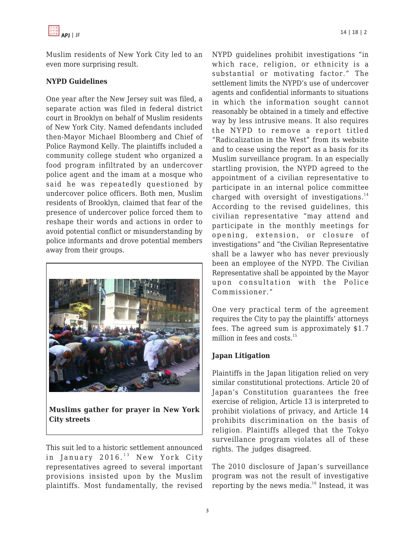

Muslim residents of New York City led to an even more surprising result.

#### **NYPD Guidelines**

One year after the New Jersey suit was filed, a separate action was filed in federal district court in Brooklyn on behalf of Muslim residents of New York City. Named defendants included then-Mayor Michael Bloomberg and Chief of Police Raymond Kelly. The plaintiffs included a community college student who organized a food program infiltrated by an undercover police agent and the imam at a mosque who said he was repeatedly questioned by undercover police officers. Both men, Muslim residents of Brooklyn, claimed that fear of the presence of undercover police forced them to reshape their words and actions in order to avoid potential conflict or misunderstanding by police informants and drove potential members away from their groups.



**Muslims gather for prayer in New York City streets**

This suit led to a historic settlement announced in January  $2016.<sup>13</sup>$  New York City representatives agreed to several important provisions insisted upon by the Muslim plaintiffs. Most fundamentally, the revised NYPD guidelines prohibit investigations "in which race, religion, or ethnicity is a substantial or motivating factor." The settlement limits the NYPD's use of undercover agents and confidential informants to situations in which the information sought cannot reasonably be obtained in a timely and effective way by less intrusive means. It also requires the NYPD to remove a report titled "Radicalization in the West" from its website and to cease using the report as a basis for its Muslim surveillance program. In an especially startling provision, the NYPD agreed to the appointment of a civilian representative to participate in an internal police committee charged with oversight of investigations. $14$ According to the revised guidelines, this civilian representative "may attend and participate in the monthly meetings for opening, extension, or closure of investigations" and "the Civilian Representative shall be a lawyer who has never previously been an employee of the NYPD. The Civilian Representative shall be appointed by the Mayor upon consultation with the Police Commissioner."

One very practical term of the agreement requires the City to pay the plaintiffs' attorneys fees. The agreed sum is approximately \$1.7 million in fees and costs.<sup>15</sup>

#### **Japan Litigation**

Plaintiffs in the Japan litigation relied on very similar constitutional protections. Article 20 of Japan's Constitution guarantees the free exercise of religion, Article 13 is interpreted to prohibit violations of privacy, and Article 14 prohibits discrimination on the basis of religion. Plaintiffs alleged that the Tokyo surveillance program violates all of these rights. The judges disagreed.

The 2010 disclosure of Japan's surveillance program was not the result of investigative reporting by the news media. $16$  Instead, it was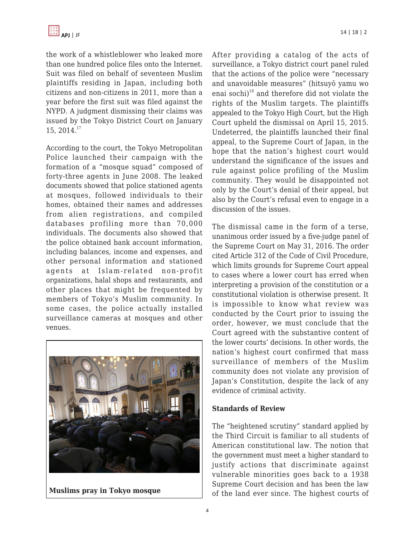the work of a whistleblower who leaked more than one hundred police files onto the Internet. Suit was filed on behalf of seventeen Muslim plaintiffs residing in Japan, including both citizens and non-citizens in 2011, more than a year before the first suit was filed against the NYPD. A judgment dismissing their claims was issued by the Tokyo District Court on January 15, 2014.<sup>17</sup>

According to the court, the Tokyo Metropolitan Police launched their campaign with the formation of a "mosque squad" composed of forty-three agents in June 2008. The leaked documents showed that police stationed agents at mosques, followed individuals to their homes, obtained their names and addresses from alien registrations, and compiled databases profiling more than 70,000 individuals. The documents also showed that the police obtained bank account information, including balances, income and expenses, and other personal information and stationed agents at Islam-related non-profit organizations, halal shops and restaurants, and other places that might be frequented by members of Tokyo's Muslim community. In some cases, the police actually installed surveillance cameras at mosques and other venues.



**Muslims pray in Tokyo mosque**

After providing a catalog of the acts of surveillance, a Tokyo district court panel ruled that the actions of the police were "necessary and unavoidable measures" (hitsuyō yamu wo enai sochi) <sup>18</sup> and therefore did not violate the rights of the Muslim targets. The plaintiffs appealed to the Tokyo High Court, but the High Court upheld the dismissal on April 15, 2015. Undeterred, the plaintiffs launched their final appeal, to the Supreme Court of Japan, in the hope that the nation's highest court would understand the significance of the issues and rule against police profiling of the Muslim community. They would be disappointed not only by the Court's denial of their appeal, but also by the Court's refusal even to engage in a discussion of the issues.

The dismissal came in the form of a terse, unanimous order issued by a five-judge panel of the Supreme Court on May 31, 2016. The order cited Article 312 of the Code of Civil Procedure, which limits grounds for Supreme Court appeal to cases where a lower court has erred when interpreting a provision of the constitution or a constitutional violation is otherwise present. It is impossible to know what review was conducted by the Court prior to issuing the order, however, we must conclude that the Court agreed with the substantive content of the lower courts' decisions. In other words, the nation's highest court confirmed that mass surveillance of members of the Muslim community does not violate any provision of Japan's Constitution, despite the lack of any evidence of criminal activity.

## **Standards of Review**

The "heightened scrutiny" standard applied by the Third Circuit is familiar to all students of American constitutional law. The notion that the government must meet a higher standard to justify actions that discriminate against vulnerable minorities goes back to a 1938 Supreme Court decision and has been the law of the land ever since. The highest courts of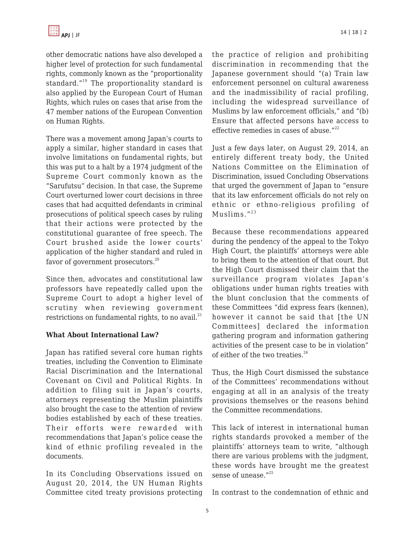other democratic nations have also developed a higher level of protection for such fundamental rights, commonly known as the "proportionality standard."<sup>19</sup> The proportionality standard is also applied by the European Court of Human Rights, which rules on cases that arise from the 47 member nations of the European Convention on Human Rights.

There was a movement among Japan's courts to apply a similar, higher standard in cases that involve limitations on fundamental rights, but this was put to a halt by a 1974 judgment of the Supreme Court commonly known as the "Sarufutsu" decision. In that case, the Supreme Court overturned lower court decisions in three cases that had acquitted defendants in criminal prosecutions of political speech cases by ruling that their actions were protected by the constitutional guarantee of free speech. The Court brushed aside the lower courts' application of the higher standard and ruled in favor of government prosecutors.<sup>20</sup>

Since then, advocates and constitutional law professors have repeatedly called upon the Supreme Court to adopt a higher level of scrutiny when reviewing government restrictions on fundamental rights, to no avail. $^{21}$ 

## **What About International Law?**

Japan has ratified several core human rights treaties, including the Convention to Eliminate Racial Discrimination and the International Covenant on Civil and Political Rights. In addition to filing suit in Japan's courts, attorneys representing the Muslim plaintiffs also brought the case to the attention of review bodies established by each of these treaties. Their efforts were rewarded with recommendations that Japan's police cease the kind of ethnic profiling revealed in the documents.

In its Concluding Observations issued on August 20, 2014, the UN Human Rights Committee cited treaty provisions protecting the practice of religion and prohibiting discrimination in recommending that the Japanese government should "(a) Train law enforcement personnel on cultural awareness and the inadmissibility of racial profiling, including the widespread surveillance of Muslims by law enforcement officials," and "(b) Ensure that affected persons have access to effective remedies in cases of abuse. $"^{22}$ 

Just a few days later, on August 29, 2014, an entirely different treaty body, the United Nations Committee on the Elimination of Discrimination, issued Concluding Observations that urged the government of Japan to "ensure that its law enforcement officials do not rely on ethnic or ethno-religious profiling of Muslims. $"^{23}$ 

Because these recommendations appeared during the pendency of the appeal to the Tokyo High Court, the plaintiffs' attorneys were able to bring them to the attention of that court. But the High Court dismissed their claim that the surveillance program violates Japan's obligations under human rights treaties with the blunt conclusion that the comments of these Committees "did express fears (kennen), however it cannot be said that [the UN Committees] declared the information gathering program and information gathering activities of the present case to be in violation" of either of the two treaties. $24$ 

Thus, the High Court dismissed the substance of the Committees' recommendations without engaging at all in an analysis of the treaty provisions themselves or the reasons behind the Committee recommendations.

This lack of interest in international human rights standards provoked a member of the plaintiffs' attorneys team to write, "although there are various problems with the judgment, these words have brought me the greatest sense of unease."<sup>25</sup>

In contrast to the condemnation of ethnic and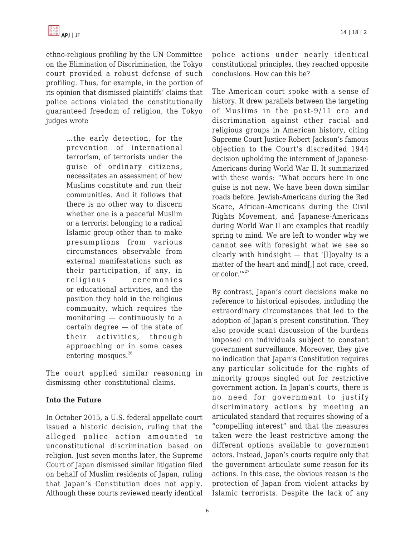

ethno-religious profiling by the UN Committee on the Elimination of Discrimination, the Tokyo court provided a robust defense of such profiling. Thus, for example, in the portion of its opinion that dismissed plaintiffs' claims that police actions violated the constitutionally guaranteed freedom of religion, the Tokyo judges wrote

> …the early detection, for the prevention of international terrorism, of terrorists under the guise of ordinary citizens, necessitates an assessment of how Muslims constitute and run their communities. And it follows that there is no other way to discern whether one is a peaceful Muslim or a terrorist belonging to a radical Islamic group other than to make presumptions from various circumstances observable from external manifestations such as their participation, if any, in religious ceremonies or educational activities, and the position they hold in the religious community, which requires the monitoring — continuously to a certain degree — of the state of their activities, through approaching or in some cases entering mosques.<sup>26</sup>

The court applied similar reasoning in dismissing other constitutional claims.

## **Into the Future**

In October 2015, a U.S. federal appellate court issued a historic decision, ruling that the alleged police action amounted to unconstitutional discrimination based on religion. Just seven months later, the Supreme Court of Japan dismissed similar litigation filed on behalf of Muslim residents of Japan, ruling that Japan's Constitution does not apply. Although these courts reviewed nearly identical police actions under nearly identical constitutional principles, they reached opposite conclusions. How can this be?

The American court spoke with a sense of history. It drew parallels between the targeting of Muslims in the post-9/11 era and discrimination against other racial and religious groups in American history, citing Supreme Court Justice Robert Jackson's famous objection to the Court's discredited 1944 decision upholding the internment of Japanese-Americans during World War II. It summarized with these words: "What occurs here in one guise is not new. We have been down similar roads before. Jewish-Americans during the Red Scare, African-Americans during the Civil Rights Movement, and Japanese-Americans during World War II are examples that readily spring to mind. We are left to wonder why we cannot see with foresight what we see so clearly with hindsight — that '[l]oyalty is a matter of the heart and mind[,] not race, creed, or color.'"<sup>27</sup>

By contrast, Japan's court decisions make no reference to historical episodes, including the extraordinary circumstances that led to the adoption of Japan's present constitution. They also provide scant discussion of the burdens imposed on individuals subject to constant government surveillance. Moreover, they give no indication that Japan's Constitution requires any particular solicitude for the rights of minority groups singled out for restrictive government action. In Japan's courts, there is no need for government to justify discriminatory actions by meeting an articulated standard that requires showing of a "compelling interest" and that the measures taken were the least restrictive among the different options available to government actors. Instead, Japan's courts require only that the government articulate some reason for its actions. In this case, the obvious reason is the protection of Japan from violent attacks by Islamic terrorists. Despite the lack of any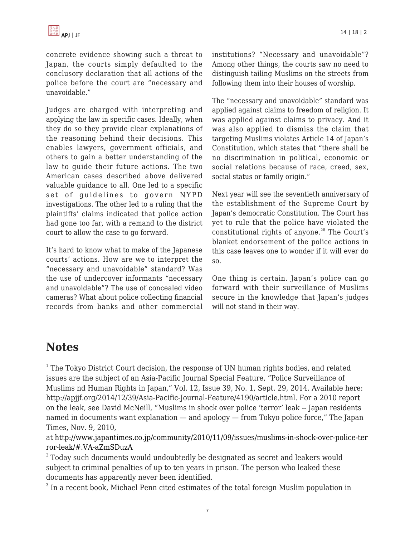concrete evidence showing such a threat to Japan, the courts simply defaulted to the conclusory declaration that all actions of the police before the court are "necessary and unavoidable."

Judges are charged with interpreting and applying the law in specific cases. Ideally, when they do so they provide clear explanations of the reasoning behind their decisions. This enables lawyers, government officials, and others to gain a better understanding of the law to guide their future actions. The two American cases described above delivered valuable guidance to all. One led to a specific set of guidelines to govern NYPD investigations. The other led to a ruling that the plaintiffs' claims indicated that police action had gone too far, with a remand to the district court to allow the case to go forward.

It's hard to know what to make of the Japanese courts' actions. How are we to interpret the "necessary and unavoidable" standard? Was the use of undercover informants "necessary and unavoidable"? The use of concealed video cameras? What about police collecting financial records from banks and other commercial institutions? "Necessary and unavoidable"? Among other things, the courts saw no need to distinguish tailing Muslims on the streets from following them into their houses of worship.

The "necessary and unavoidable" standard was applied against claims to freedom of religion. It was applied against claims to privacy. And it was also applied to dismiss the claim that targeting Muslims violates Article 14 of Japan's Constitution, which states that "there shall be no discrimination in political, economic or social relations because of race, creed, sex, social status or family origin."

Next year will see the seventieth anniversary of the establishment of the Supreme Court by Japan's democratic Constitution. The Court has yet to rule that the police have violated the constitutional rights of anyone.<sup>28</sup> The Court's blanket endorsement of the police actions in this case leaves one to wonder if it will ever do so.

One thing is certain. Japan's police can go forward with their surveillance of Muslims secure in the knowledge that Japan's judges will not stand in their way.

# **Notes**

 $1$  The Tokyo District Court decision, the response of UN human rights bodies, and related issues are the subject of an Asia-Pacific Journal Special Feature, "Police Surveillance of Muslims nd Human Rights in Japan," Vol. 12, Issue 39, No. 1, Sept. 29, 2014. Available here: http://apjjf.org/2014/12/39/Asia-Pacific-Journal-Feature/4190/article.html. For a 2010 report on the leak, see David McNeill, "Muslims in shock over police 'terror' leak -- Japan residents named in documents want explanation — and apology — from Tokyo police force," The Japan Times, Nov. 9, 2010,

at [http://www.japantimes.co.jp/community/2010/11/09/issues/muslims-in-shock-over-police-ter](http://www.japantimes.co.jp/community/2010/11/09/issues/muslims-in-shock-over-police-terror-leak/#.VA-aZmSDuzA) [ror-leak/#.VA-aZmSDuzA](http://www.japantimes.co.jp/community/2010/11/09/issues/muslims-in-shock-over-police-terror-leak/#.VA-aZmSDuzA)

 $^{\rm 2}$  Today such documents would undoubtedly be designated as secret and leakers would subject to criminal penalties of up to ten years in prison. The person who leaked these documents has apparently never been identified.

 $^3$  In a recent book, Michael Penn cited estimates of the total foreign Muslim population in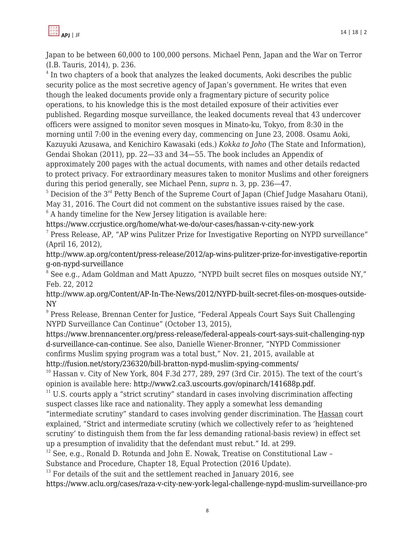Japan to be between 60,000 to 100,000 persons. Michael Penn, Japan and the War on Terror (I.B. Tauris, 2014), p. 236.

 $4$  In two chapters of a book that analyzes the leaked documents, Aoki describes the public security police as the most secretive agency of Japan's government. He writes that even though the leaked documents provide only a fragmentary picture of security police operations, to his knowledge this is the most detailed exposure of their activities ever published. Regarding mosque surveillance, the leaked documents reveal that 43 undercover officers were assigned to monitor seven mosques in Minato-ku, Tokyo, from 8:30 in the morning until 7:00 in the evening every day, commencing on June 23, 2008. Osamu Aoki, Kazuyuki Azusawa, and Kenichiro Kawasaki (eds.) *Kokka to Joho* (The State and Information), Gendai Shokan (2011), pp. 22—33 and 34—55. The book includes an Appendix of approximately 200 pages with the actual documents, with names and other details redacted to protect privacy. For extraordinary measures taken to monitor Muslims and other foreigners during this period generally, see Michael Penn, *supra* n. 3, pp. 236—47.

 $5$  Decision of the  $3<sup>rd</sup>$  Petty Bench of the Supreme Court of Japan (Chief Judge Masaharu Otani), May 31, 2016. The Court did not comment on the substantive issues raised by the case.

 $6$  A handy timeline for the New Jersey litigation is available here:

<https://www.ccrjustice.org/home/what-we-do/our-cases/hassan-v-city-new-york>

 $^7$  Press Release, AP, "AP wins Pulitzer Prize for Investigative Reporting on NYPD surveillance" (April 16, 2012),

[http://www.ap.org/content/press-release/2012/ap-wins-pulitzer-prize-for-investigative-reportin](http://www.ap.org/content/press-release/2012/ap-wins-pulitzer-prize-for-investigative-reporting-on-nypd-surveillance) [g-on-nypd-surveillance](http://www.ap.org/content/press-release/2012/ap-wins-pulitzer-prize-for-investigative-reporting-on-nypd-surveillance)

8 See e.g., Adam Goldman and Matt Apuzzo, "NYPD built secret files on mosques outside NY," Feb. 22, 2012

[http://www.ap.org/Content/AP-In-The-News/2012/NYPD-built-secret-files-on-mosques-outside-](http://www.ap.org/Content/AP-In-The-News/2012/NYPD-built-secret-files-on-mosques-outside-NY)[NY](http://www.ap.org/Content/AP-In-The-News/2012/NYPD-built-secret-files-on-mosques-outside-NY)

<sup>9</sup> Press Release, Brennan Center for Justice, "Federal Appeals Court Says Suit Challenging NYPD Surveillance Can Continue" (October 13, 2015),

[https://www.brennancenter.org/press-release/federal-appeals-court-says-suit-challenging-nyp](https://www.brennancenter.org/press-release/federal-appeals-court-says-suit-challenging-nypd-surveillance-can-continue) [d-surveillance-can-continue.](https://www.brennancenter.org/press-release/federal-appeals-court-says-suit-challenging-nypd-surveillance-can-continue) See also, Danielle Wiener-Bronner, "NYPD Commissioner confirms Muslim spying program was a total bust," Nov. 21, 2015, available at

<http://fusion.net/story/236320/bill-bratton-nypd-muslim-spying-comments/>

 $10$  Hassan v. City of New York, 804 F.3d 277, 289, 297 (3rd Cir. 2015). The text of the court's opinion is available here:<http://www2.ca3.uscourts.gov/opinarch/141688p.pdf>.

 $11$  U.S. courts apply a "strict scrutiny" standard in cases involving discrimination affecting suspect classes like race and nationality. They apply a somewhat less demanding

"intermediate scrutiny" standard to cases involving gender discrimination. The Hassan court explained, "Strict and intermediate scrutiny (which we collectively refer to as 'heightened scrutiny' to distinguish them from the far less demanding rational-basis review) in effect set up a presumption of invalidity that the defendant must rebut." Id. at 299.

 $12$  See, e.g., Ronald D. Rotunda and John E. Nowak, Treatise on Constitutional Law -

Substance and Procedure, Chapter 18, Equal Protection (2016 Update).

 $13$  For details of the suit and the settlement reached in January 2016, see

[https://www.aclu.org/cases/raza-v-city-new-york-legal-challenge-nypd-muslim-surveillance-pro](https://www.aclu.org/cases/raza-v-city-new-york-legal-challenge-nypd-muslim-surveillance-program)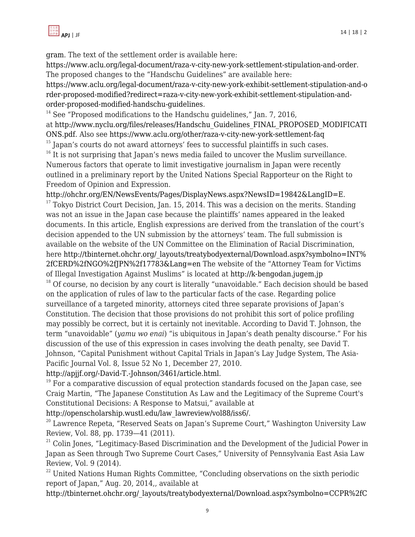[gram](https://www.aclu.org/cases/raza-v-city-new-york-legal-challenge-nypd-muslim-surveillance-program). The text of the settlement order is available here:

<https://www.aclu.org/legal-document/raza-v-city-new-york-settlement-stipulation-and-order>. The proposed changes to the "Handschu Guidelines" are available here:

[https://www.aclu.org/legal-document/raza-v-city-new-york-exhibit-settlement-stipulation-and-o](https://www.aclu.org/legal-document/raza-v-city-new-york-exhibit-settlement-stipulation-and-order-proposed-modified?redirect=raza-v-city-new-york-exhibit-settlement-stipulation-and-order-proposed-modified-handschu-guidelines) [rder-proposed-modified?redirect=raza-v-city-new-york-exhibit-settlement-stipulation-and](https://www.aclu.org/legal-document/raza-v-city-new-york-exhibit-settlement-stipulation-and-order-proposed-modified?redirect=raza-v-city-new-york-exhibit-settlement-stipulation-and-order-proposed-modified-handschu-guidelines)[order-proposed-modified-handschu-guidelines.](https://www.aclu.org/legal-document/raza-v-city-new-york-exhibit-settlement-stipulation-and-order-proposed-modified?redirect=raza-v-city-new-york-exhibit-settlement-stipulation-and-order-proposed-modified-handschu-guidelines)

 $14$  See "Proposed modifications to the Handschu guidelines," Jan. 7, 2016, at [http://www.nyclu.org/files/releases/Handschu\\_Guidelines\\_FINAL\\_PROPOSED\\_MODIFICATI](http://www.nyclu.org/files/releases/Handschu_Guidelines_FINAL_PROPOSED_MODIFICATIONS.pdf) [ONS.pdf](http://www.nyclu.org/files/releases/Handschu_Guidelines_FINAL_PROPOSED_MODIFICATIONS.pdf). Also see <https://www.aclu.org/other/raza-v-city-new-york-settlement-faq>

 $15$  Japan's courts do not award attorneys' fees to successful plaintiffs in such cases.

<sup>16</sup> It is not surprising that Japan's news media failed to uncover the Muslim surveillance. Numerous factors that operate to limit investigative journalism in Japan were recently outlined in a preliminary report by the United Nations Special Rapporteur on the Right to Freedom of Opinion and Expression.

[http://ohchr.org/EN/NewsEvents/Pages/DisplayNews.aspx?NewsID=19842&LangID=E.](http://ohchr.org/EN/NewsEvents/Pages/DisplayNews.aspx?NewsID=19842&LangID=E)

 $17$  Tokyo District Court Decision, Jan. 15, 2014. This was a decision on the merits. Standing was not an issue in the Japan case because the plaintiffs' names appeared in the leaked documents. In this article, English expressions are derived from the translation of the court's decision appended to the UN submission by the attorneys' team. The full submission is available on the website of the UN Committee on the Elimination of Racial Discrimination, here [http://tbinternet.ohchr.org/\\_layouts/treatybodyexternal/Download.aspx?symbolno=INT%](http://tbinternet.ohchr.org/_layouts/treatybodyexternal/Download.aspx?symbolno=INT%2fCERD%2fNGO%2fJPN%2f17783&Lang=en) [2fCERD%2fNGO%2fJPN%2f17783&Lang=en](http://tbinternet.ohchr.org/_layouts/treatybodyexternal/Download.aspx?symbolno=INT%2fCERD%2fNGO%2fJPN%2f17783&Lang=en) The website of the "Attorney Team for Victims of Illegal Investigation Against Muslims" is located at<http://k-bengodan.jugem.jp>

 $18$  Of course, no decision by any court is literally "unavoidable." Each decision should be based on the application of rules of law to the particular facts of the case. Regarding police surveillance of a targeted minority, attorneys cited three separate provisions of Japan's Constitution. The decision that those provisions do not prohibit this sort of police profiling may possibly be correct, but it is certainly not inevitable. According to David T. Johnson, the term "unavoidable" (*yamu wo enai*) "is ubiquitous in Japan's death penalty discourse." For his discussion of the use of this expression in cases involving the death penalty, see David T. Johnson, "Capital Punishment without Capital Trials in Japan's Lay Judge System, The Asia-Pacific Journal Vol. 8, Issue 52 No 1, December 27, 2010.

<http://apjjf.org/-David-T.-Johnson/3461/article.html>.

 $19$  For a comparative discussion of equal protection standards focused on the Japan case, see Craig Martin, "The Japanese Constitution As Law and the Legitimacy of the Supreme Court's Constitutional Decisions: A Response to Matsui," available at

[http://openscholarship.wustl.edu/law\\_lawreview/vol88/iss6/.](http://openscholarship.wustl.edu/law_lawreview/vol88/iss6/)

 $20$  Lawrence Repeta, "Reserved Seats on Japan's Supreme Court," Washington University Law Review, Vol. 88, pp. 1739—41 (2011).

 $21$  Colin Jones, "Legitimacy-Based Discrimination and the Development of the Judicial Power in Japan as Seen through Two Supreme Court Cases," University of Pennsylvania East Asia Law Review, Vol. 9 (2014).

<sup>22</sup> United Nations Human Rights Committee, "Concluding observations on the sixth periodic report of Japan," Aug. 20, 2014,, available at

[http://tbinternet.ohchr.org/\\_layouts/treatybodyexternal/Download.aspx?symbolno=CCPR%2fC](http://tbinternet.ohchr.org/_layouts/treatybodyexternal/Download.aspx?symbolno=CCPR%2fC%2fJPN%2fCO%2f6&Lang=en)